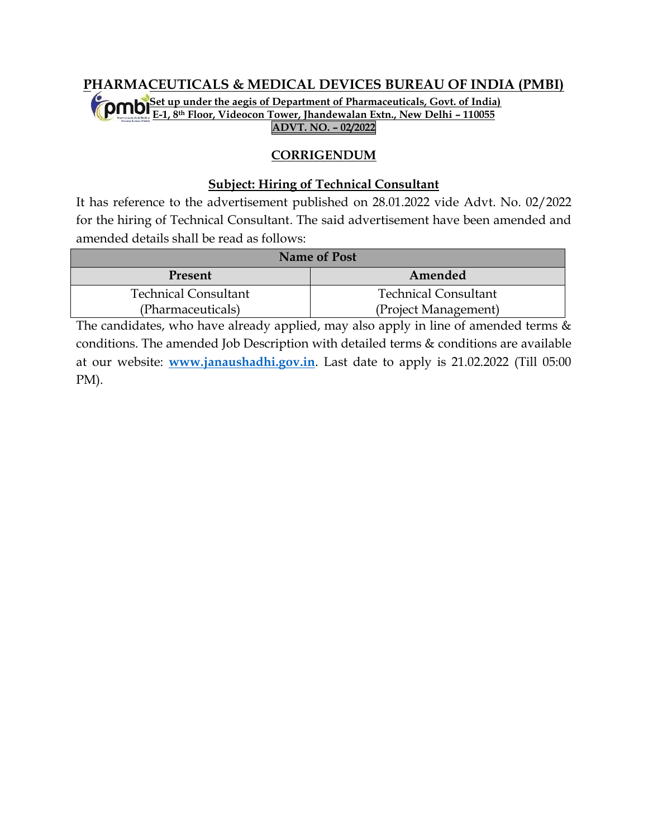#### **PHARMACEUTICALS & MEDICAL DEVICES BUREAU OF INDIA (PMBI) (Set up under the aegis of Department of Pharmaceuticals, Govt. of India) E-1, 8th Floor, Videocon Tower, Jhandewalan Extn., New Delhi – 110055 ADVT. NO. – 02/2022**

## **CORRIGENDUM**

#### **Subject: Hiring of Technical Consultant**

It has reference to the advertisement published on 28.01.2022 vide Advt. No. 02/2022 for the hiring of Technical Consultant. The said advertisement have been amended and amended details shall be read as follows:

| <b>Name of Post</b>         |                             |  |  |  |
|-----------------------------|-----------------------------|--|--|--|
| Present                     | Amended                     |  |  |  |
| <b>Technical Consultant</b> | <b>Technical Consultant</b> |  |  |  |
| (Pharmaceuticals)           | (Project Management)        |  |  |  |

The candidates, who have already applied, may also apply in line of amended terms  $\&$ conditions. The amended Job Description with detailed terms & conditions are available at our website: **[www.janaushadhi.gov.in](http://www.janaushadhi.gov.in/)**. Last date to apply is 21.02.2022 (Till 05:00 PM).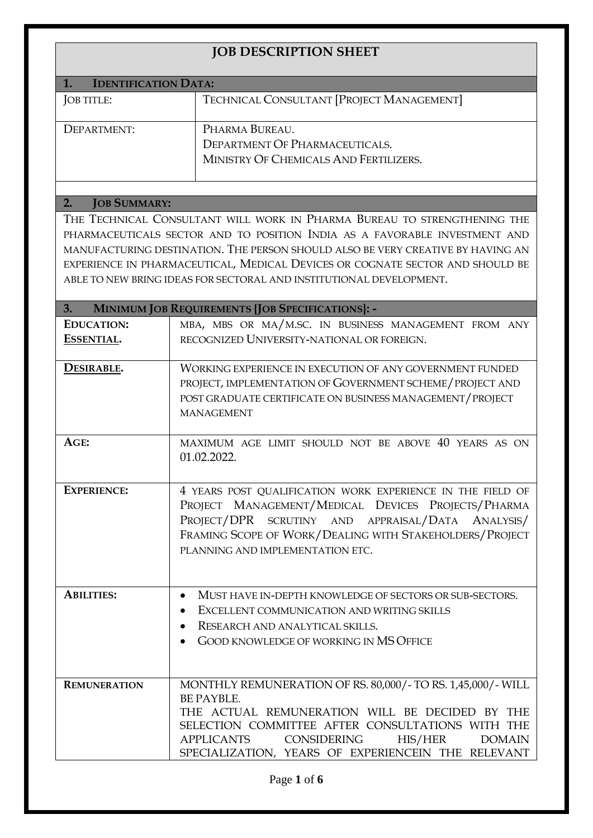| <b>JOB DESCRIPTION SHEET</b>                  |                                                                                             |  |  |  |  |  |
|-----------------------------------------------|---------------------------------------------------------------------------------------------|--|--|--|--|--|
| <b>IDENTIFICATION DATA:</b><br>$\mathbf{1}$ . |                                                                                             |  |  |  |  |  |
| JOB TITLE:                                    | TECHNICAL CONSULTANT [PROJECT MANAGEMENT]                                                   |  |  |  |  |  |
|                                               |                                                                                             |  |  |  |  |  |
| DEPARTMENT:                                   | PHARMA BUREAU.                                                                              |  |  |  |  |  |
|                                               | <b>DEPARTMENT OF PHARMACEUTICALS.</b>                                                       |  |  |  |  |  |
|                                               | MINISTRY OF CHEMICALS AND FERTILIZERS.                                                      |  |  |  |  |  |
|                                               |                                                                                             |  |  |  |  |  |
| 2.<br><b>JOB SUMMARY:</b>                     |                                                                                             |  |  |  |  |  |
|                                               | THE TECHNICAL CONSULTANT WILL WORK IN PHARMA BUREAU TO STRENGTHENING THE                    |  |  |  |  |  |
|                                               | PHARMACEUTICALS SECTOR AND TO POSITION INDIA AS A FAVORABLE INVESTMENT AND                  |  |  |  |  |  |
|                                               | MANUFACTURING DESTINATION. THE PERSON SHOULD ALSO BE VERY CREATIVE BY HAVING AN             |  |  |  |  |  |
|                                               | EXPERIENCE IN PHARMACEUTICAL, MEDICAL DEVICES OR COGNATE SECTOR AND SHOULD BE               |  |  |  |  |  |
|                                               | ABLE TO NEW BRING IDEAS FOR SECTORAL AND INSTITUTIONAL DEVELOPMENT.                         |  |  |  |  |  |
| 3.                                            | MINIMUM JOB REQUIREMENTS {JOB SPECIFICATIONS}: -                                            |  |  |  |  |  |
| <b>EDUCATION:</b>                             | MBA, MBS OR MA/M.SC. IN BUSINESS MANAGEMENT FROM ANY                                        |  |  |  |  |  |
| ESSENTIAL.                                    | RECOGNIZED UNIVERSITY-NATIONAL OR FOREIGN.                                                  |  |  |  |  |  |
|                                               |                                                                                             |  |  |  |  |  |
| DESIRABLE.                                    | <b>WORKING EXPERIENCE IN EXECUTION OF ANY GOVERNMENT FUNDED</b>                             |  |  |  |  |  |
|                                               | PROJECT, IMPLEMENTATION OF GOVERNMENT SCHEME / PROJECT AND                                  |  |  |  |  |  |
|                                               | POST GRADUATE CERTIFICATE ON BUSINESS MANAGEMENT / PROJECT<br><b>MANAGEMENT</b>             |  |  |  |  |  |
|                                               |                                                                                             |  |  |  |  |  |
| AGE:                                          | MAXIMUM AGE LIMIT SHOULD NOT BE ABOVE 40 YEARS AS ON                                        |  |  |  |  |  |
|                                               | 01.02.2022.                                                                                 |  |  |  |  |  |
|                                               |                                                                                             |  |  |  |  |  |
| <b>EXPERIENCE:</b>                            | 4 YEARS POST QUALIFICATION WORK EXPERIENCE IN THE FIELD OF                                  |  |  |  |  |  |
|                                               | PROJECT MANAGEMENT/MEDICAL DEVICES PROJECTS/PHARMA                                          |  |  |  |  |  |
|                                               | PROJECT/DPR SCRUTINY AND APPRAISAL/DATA ANALYSIS/                                           |  |  |  |  |  |
|                                               | FRAMING SCOPE OF WORK/DEALING WITH STAKEHOLDERS/PROJECT<br>PLANNING AND IMPLEMENTATION ETC. |  |  |  |  |  |
|                                               |                                                                                             |  |  |  |  |  |
|                                               |                                                                                             |  |  |  |  |  |
| <b>ABILITIES:</b>                             | MUST HAVE IN-DEPTH KNOWLEDGE OF SECTORS OR SUB-SECTORS.<br>٠                                |  |  |  |  |  |
|                                               | EXCELLENT COMMUNICATION AND WRITING SKILLS<br>$\bullet$                                     |  |  |  |  |  |
|                                               | RESEARCH AND ANALYTICAL SKILLS.                                                             |  |  |  |  |  |
|                                               | <b>GOOD KNOWLEDGE OF WORKING IN MS OFFICE</b>                                               |  |  |  |  |  |
|                                               |                                                                                             |  |  |  |  |  |
| <b>REMUNERATION</b>                           | MONTHLY REMUNERATION OF RS. 80,000/- TO RS. 1,45,000/- WILL                                 |  |  |  |  |  |
|                                               | BE PAYBLE.                                                                                  |  |  |  |  |  |
|                                               | THE ACTUAL REMUNERATION WILL BE DECIDED BY THE                                              |  |  |  |  |  |
|                                               | SELECTION COMMITTEE AFTER CONSULTATIONS WITH THE                                            |  |  |  |  |  |
|                                               | <b>APPLICANTS</b><br><b>CONSIDERING</b><br>HIS/HER<br><b>DOMAIN</b>                         |  |  |  |  |  |
|                                               | SPECIALIZATION, YEARS OF EXPERIENCEIN THE RELEVANT                                          |  |  |  |  |  |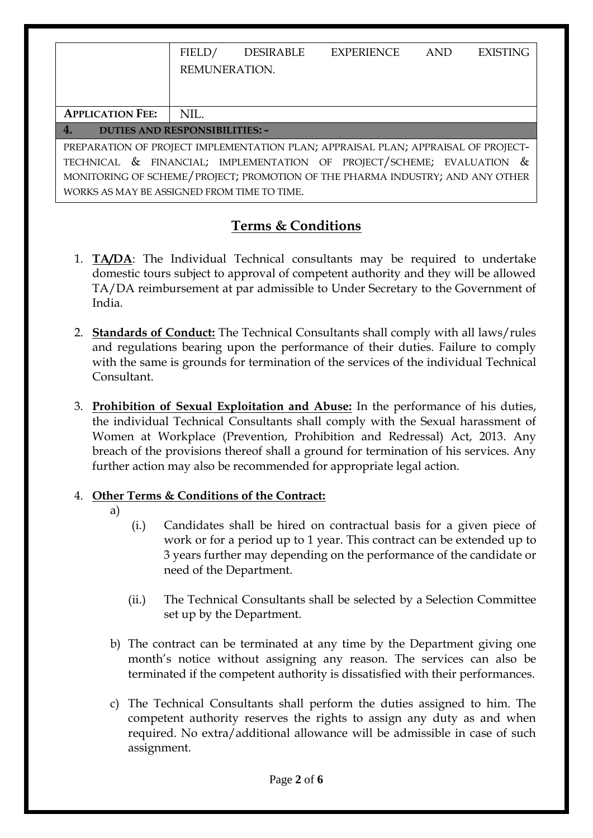|                                                                                                                                                                                                                                             | FIELD/        | DESIRABLE | EXPERIENCE | <b>AND</b> | <b>EXISTING</b> |  |  |
|---------------------------------------------------------------------------------------------------------------------------------------------------------------------------------------------------------------------------------------------|---------------|-----------|------------|------------|-----------------|--|--|
|                                                                                                                                                                                                                                             | REMUNERATION. |           |            |            |                 |  |  |
|                                                                                                                                                                                                                                             |               |           |            |            |                 |  |  |
| <b>APPLICATION FEE:</b>                                                                                                                                                                                                                     | NIL.          |           |            |            |                 |  |  |
| 4.<br><b>DUTIES AND RESPONSIBILITIES: -</b>                                                                                                                                                                                                 |               |           |            |            |                 |  |  |
| PREPARATION OF PROJECT IMPLEMENTATION PLAN; APPRAISAL PLAN; APPRAISAL OF PROJECT-<br>TECHNICAL & FINANCIAL; IMPLEMENTATION OF PROJECT/SCHEME; EVALUATION &<br>MONITORING OF SCHEME/PROJECT; PROMOTION OF THE PHARMA INDUSTRY; AND ANY OTHER |               |           |            |            |                 |  |  |
| WORKS AS MAY BE ASSIGNED FROM TIME TO TIME.                                                                                                                                                                                                 |               |           |            |            |                 |  |  |

# **Terms & Conditions**

- 1. **TA/DA**: The Individual Technical consultants may be required to undertake domestic tours subject to approval of competent authority and they will be allowed TA/DA reimbursement at par admissible to Under Secretary to the Government of India.
- 2. **Standards of Conduct:** The Technical Consultants shall comply with all laws/rules and regulations bearing upon the performance of their duties. Failure to comply with the same is grounds for termination of the services of the individual Technical Consultant.
- 3. **Prohibition of Sexual Exploitation and Abuse:** In the performance of his duties, the individual Technical Consultants shall comply with the Sexual harassment of Women at Workplace (Prevention, Prohibition and Redressal) Act, 2013. Any breach of the provisions thereof shall a ground for termination of his services. Any further action may also be recommended for appropriate legal action.

# 4. **Other Terms & Conditions of the Contract:**

- a)
- (i.) Candidates shall be hired on contractual basis for a given piece of work or for a period up to 1 year. This contract can be extended up to 3 years further may depending on the performance of the candidate or need of the Department.
- (ii.) The Technical Consultants shall be selected by a Selection Committee set up by the Department.
- b) The contract can be terminated at any time by the Department giving one month's notice without assigning any reason. The services can also be terminated if the competent authority is dissatisfied with their performances.
- c) The Technical Consultants shall perform the duties assigned to him. The competent authority reserves the rights to assign any duty as and when required. No extra/additional allowance will be admissible in case of such assignment.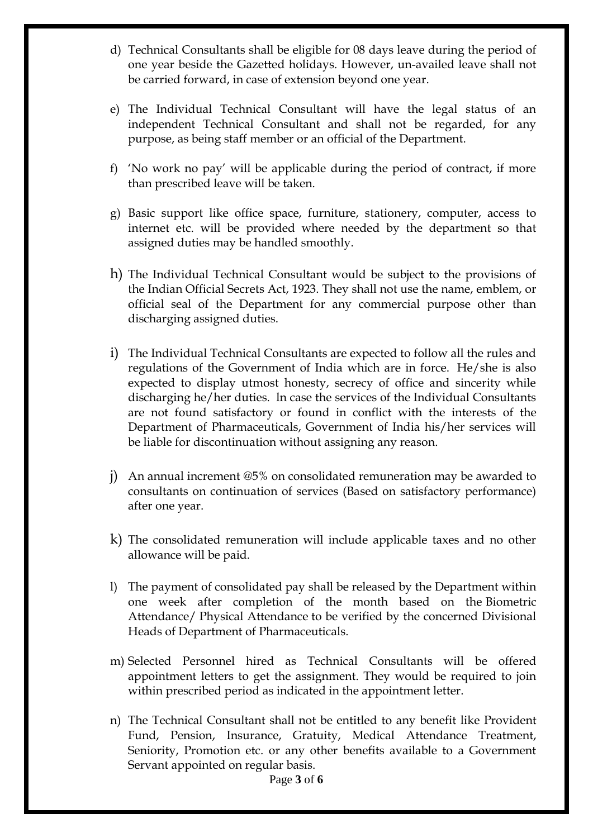- d) Technical Consultants shall be eligible for 08 days leave during the period of one year beside the Gazetted holidays. However, un-availed leave shall not be carried forward, in case of extension beyond one year.
- e) The Individual Technical Consultant will have the legal status of an independent Technical Consultant and shall not be regarded, for any purpose, as being staff member or an official of the Department.
- f) 'No work no pay' will be applicable during the period of contract, if more than prescribed leave will be taken.
- g) Basic support like office space, furniture, stationery, computer, access to internet etc. will be provided where needed by the department so that assigned duties may be handled smoothly.
- h) The Individual Technical Consultant would be subject to the provisions of the Indian Official Secrets Act, 1923. They shall not use the name, emblem, or official seal of the Department for any commercial purpose other than discharging assigned duties.
- i) The Individual Technical Consultants are expected to follow all the rules and regulations of the Government of India which are in force. He/she is also expected to display utmost honesty, secrecy of office and sincerity while discharging he/her duties. ln case the services of the Individual Consultants are not found satisfactory or found in conflict with the interests of the Department of Pharmaceuticals, Government of India his/her services will be liable for discontinuation without assigning any reason.
- j) An annual increment @5% on consolidated remuneration may be awarded to consultants on continuation of services (Based on satisfactory performance) after one year.
- k) The consolidated remuneration will include applicable taxes and no other allowance will be paid.
- l) The payment of consolidated pay shall be released by the Department within one week after completion of the month based on the Biometric Attendance/ Physical Attendance to be verified by the concerned Divisional Heads of Department of Pharmaceuticals.
- m) Selected Personnel hired as Technical Consultants will be offered appointment letters to get the assignment. They would be required to join within prescribed period as indicated in the appointment letter.
- n) The Technical Consultant shall not be entitled to any benefit like Provident Fund, Pension, Insurance, Gratuity, Medical Attendance Treatment, Seniority, Promotion etc. or any other benefits available to a Government Servant appointed on regular basis.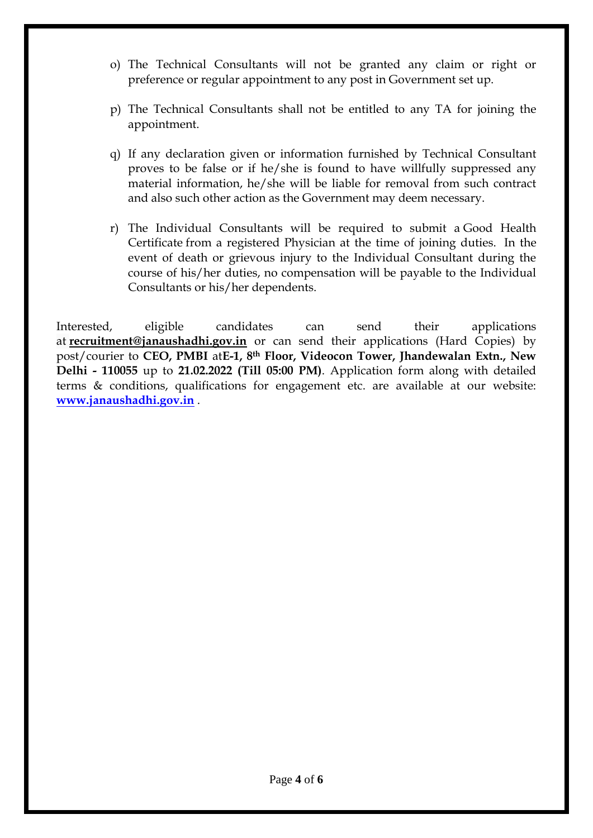- o) The Technical Consultants will not be granted any claim or right or preference or regular appointment to any post in Government set up.
- p) The Technical Consultants shall not be entitled to any TA for joining the appointment.
- q) If any declaration given or information furnished by Technical Consultant proves to be false or if he/she is found to have willfully suppressed any material information, he/she will be liable for removal from such contract and also such other action as the Government may deem necessary.
- r) The Individual Consultants will be required to submit a Good Health Certificate from a registered Physician at the time of joining duties. In the event of death or grievous injury to the Individual Consultant during the course of his/her duties, no compensation will be payable to the Individual Consultants or his/her dependents.

Interested, eligible candidates can send their applications at **[recruitment@janaushadhi.gov.in](mailto:recruitment@janaushadhi.gov.in)** or can send their applications (Hard Copies) by post/courier to **CEO, PMBI** at**E-1, 8th Floor, Videocon Tower, Jhandewalan Extn., New Delhi - 110055** up to **21.02.2022 (Till 05:00 PM)**. Application form along with detailed terms & conditions, qualifications for engagement etc. are available at our website: **[www.janaushadhi.gov.in](http://www.janaushadhi.gov.in/)** .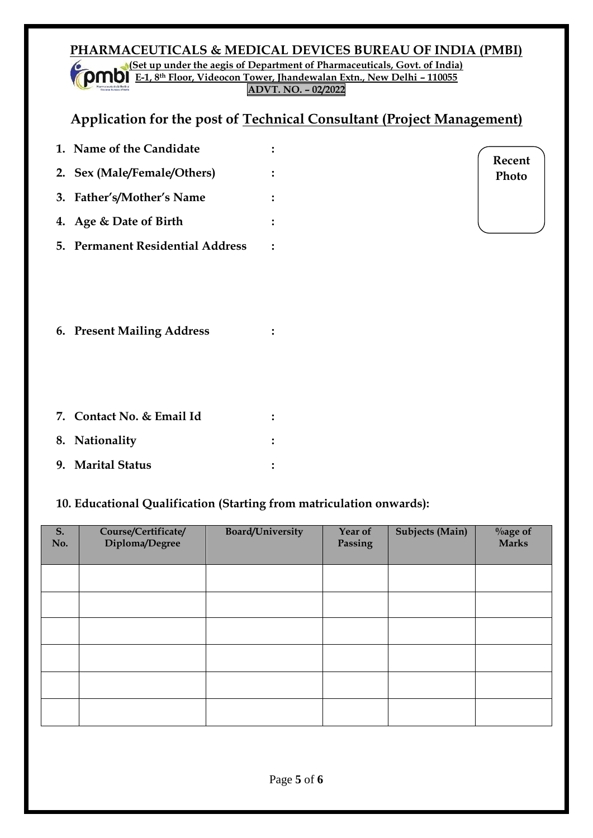## **PHARMACEUTICALS & MEDICAL DEVICES BUREAU OF INDIA (PMBI) (Set up under the aegis of Department of Pharmaceuticals, Govt. of India) E-1, 8th Floor, Videocon Tower, Jhandewalan Extn., New Delhi – 110055**

**ADVT. NO. – 02/2022**

# **Application for the post of Technical Consultant (Project Management)**

| 1. Name of the Candidate         |  |
|----------------------------------|--|
| 2. Sex (Male/Female/Others)      |  |
| 3. Father's/Mother's Name        |  |
| 4. Age & Date of Birth           |  |
| 5. Permanent Residential Address |  |

**Recent Photo**

**6. Present Mailing Address :**

| 7. Contact No. & Email Id |  |
|---------------------------|--|
| 8. Nationality            |  |
| 9. Marital Status         |  |

# **10. Educational Qualification (Starting from matriculation onwards):**

| S.<br>No. | Course/Certificate/<br>Diploma/Degree | <b>Board/University</b> | Year of<br>Passing | <b>Subjects (Main)</b> | $\%$ age of<br><b>Marks</b> |
|-----------|---------------------------------------|-------------------------|--------------------|------------------------|-----------------------------|
|           |                                       |                         |                    |                        |                             |
|           |                                       |                         |                    |                        |                             |
|           |                                       |                         |                    |                        |                             |
|           |                                       |                         |                    |                        |                             |
|           |                                       |                         |                    |                        |                             |
|           |                                       |                         |                    |                        |                             |